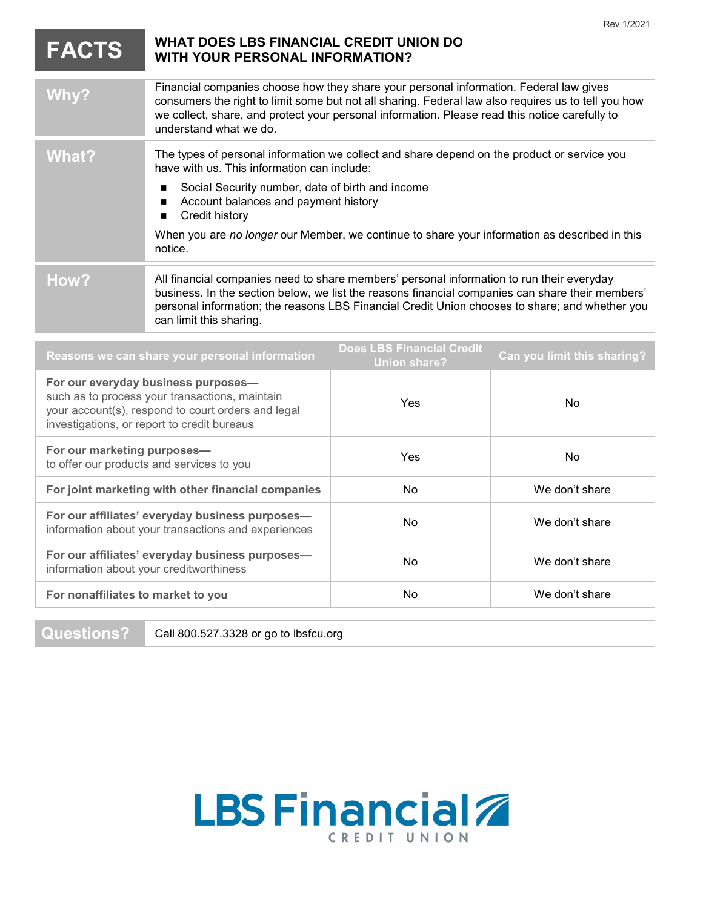|                                                                                                                                                                                            | <b>WHAT DOES LBS FINANCIAL CREDIT UNION DO</b>                                                                                                                                                                                                                                                                             |           | Rev 1/2021     |
|--------------------------------------------------------------------------------------------------------------------------------------------------------------------------------------------|----------------------------------------------------------------------------------------------------------------------------------------------------------------------------------------------------------------------------------------------------------------------------------------------------------------------------|-----------|----------------|
| <b>FACTS</b>                                                                                                                                                                               | <b>WITH YOUR PERSONAL INFORMATION?</b>                                                                                                                                                                                                                                                                                     |           |                |
| Why?                                                                                                                                                                                       | Financial companies choose how they share your personal information. Federal law gives<br>consumers the right to limit some but not all sharing. Federal law also requires us to tell you how<br>we collect, share, and protect your personal information. Please read this notice carefully to<br>understand what we do.  |           |                |
| <b>What?</b>                                                                                                                                                                               | The types of personal information we collect and share depend on the product or service you<br>have with us. This information can include:                                                                                                                                                                                 |           |                |
|                                                                                                                                                                                            | Social Security number, date of birth and income<br>п<br>Account balances and payment history<br>п<br>Credit history<br>$\blacksquare$                                                                                                                                                                                     |           |                |
|                                                                                                                                                                                            | When you are no longer our Member, we continue to share your information as described in this<br>notice.                                                                                                                                                                                                                   |           |                |
| How?                                                                                                                                                                                       | All financial companies need to share members' personal information to run their everyday<br>business. In the section below, we list the reasons financial companies can share their members'<br>personal information; the reasons LBS Financial Credit Union chooses to share; and whether you<br>can limit this sharing. |           |                |
| <b>Does LBS Financial Credit</b><br>Can you limit this sharing?<br>Reasons we can share your personal information<br><b>Union share?</b>                                                   |                                                                                                                                                                                                                                                                                                                            |           |                |
| For our everyday business purposes-<br>such as to process your transactions, maintain<br>your account(s), respond to court orders and legal<br>investigations, or report to credit bureaus |                                                                                                                                                                                                                                                                                                                            | Yes       | <b>No</b>      |
| For our marketing purposes-<br>to offer our products and services to you                                                                                                                   |                                                                                                                                                                                                                                                                                                                            | Yes       | No             |
| For joint marketing with other financial companies                                                                                                                                         |                                                                                                                                                                                                                                                                                                                            | <b>No</b> | We don't share |
| For our affiliates' everyday business purposes-<br>information about your transactions and experiences                                                                                     |                                                                                                                                                                                                                                                                                                                            | No        | We don't share |
| For our affiliates' everyday business purposes-<br>information about your creditworthiness                                                                                                 |                                                                                                                                                                                                                                                                                                                            | No        | We don't share |
| For nonaffiliates to market to you                                                                                                                                                         |                                                                                                                                                                                                                                                                                                                            | No        | We don't share |

Questions? Call 800.527.3328 or go to [lbsfcu.org](http://www.lbsfcu.org)